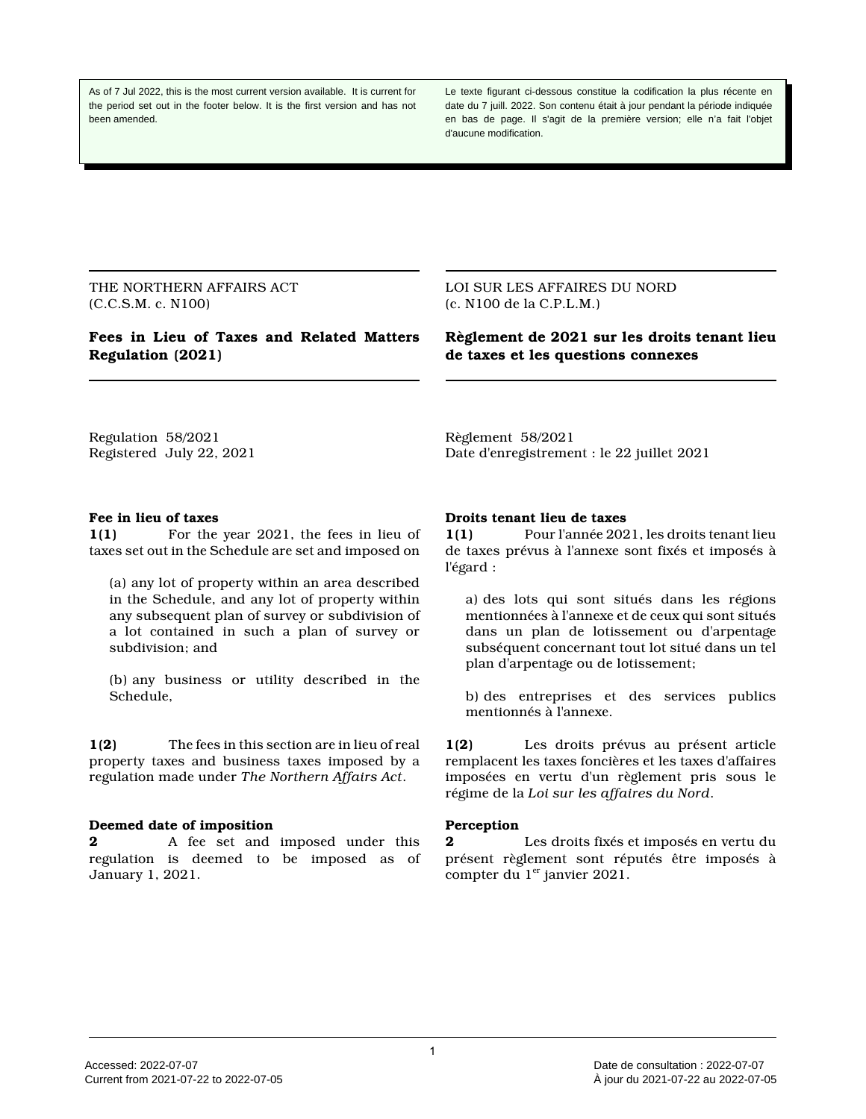As of 7 Jul 2022, this is the most current version available. It is current for the period set out in the footer below. It is the first version and has not been amended.

Le texte figurant ci-dessous constitue la codification la plus récente en date du 7 juill. 2022. Son contenu était à jour pendant la période indiquée en bas de page. Il s'agit de la première version; elle n'a fait l'objet d'aucune modification.

THE NORTHERN AFFAIRS ACT (C.C.S.M. c. N100)

# **Fees in Lieu of Taxes and Related Matters Regulation (2021)**

LOI SUR LES AFFAIRES DU NORD (c. N100 de la C.P.L.M.)

**Règlement de 2021 sur les droits tenant lieu de taxes et les questions connexes**

Regulation 58/2021 Registered July 22, 2021 Règlement 58/2021 Date d'enregistrement : le 22 juillet 2021

#### **Fee in lieu of taxes**

**1(1)** For the year 2021, the fees in lieu of taxes set out in the Schedule are set and imposed on

(a) any lot of property within an area described in the Schedule, and any lot of property within any subsequent plan of survey or subdivision of a lot contained in such a plan of survey or subdivision; and

(b) any business or utility described in the Schedule,

**1(2)** The fees in this section are in lieu of real property taxes and business taxes imposed by a regulation made under *The Northern Affairs Act*.

#### **Deemed date of imposition**

**2** A fee set and imposed under this regulation is deemed to be imposed as of January 1, 2021.

#### **Droits tenant lieu de taxes**

**1(1)** Pour l'année 2021, les droits tenant lieu de taxes prévus à l'annexe sont fixés et imposés à l'égard :

a) des lots qui sont situés dans les régions mentionnées à l'annexe et de ceux qui sont situés dans un plan de lotissement ou d'arpentage subséquent concernant tout lot situé dans un tel plan d'arpentage ou de lotissement;

b) des entreprises et des services publics mentionnés à l'annexe.

**1(2)** Les droits prévus au présent article remplacent les taxes foncières et les taxes d'affaires imposées en vertu d'un règlement pris sous le régime de la *Loi sur les affaires du Nord*.

#### **Perception**

**2** Les droits fixés et imposés en vertu du présent règlement sont réputés être imposés à compter du  $1<sup>er</sup>$  janvier 2021.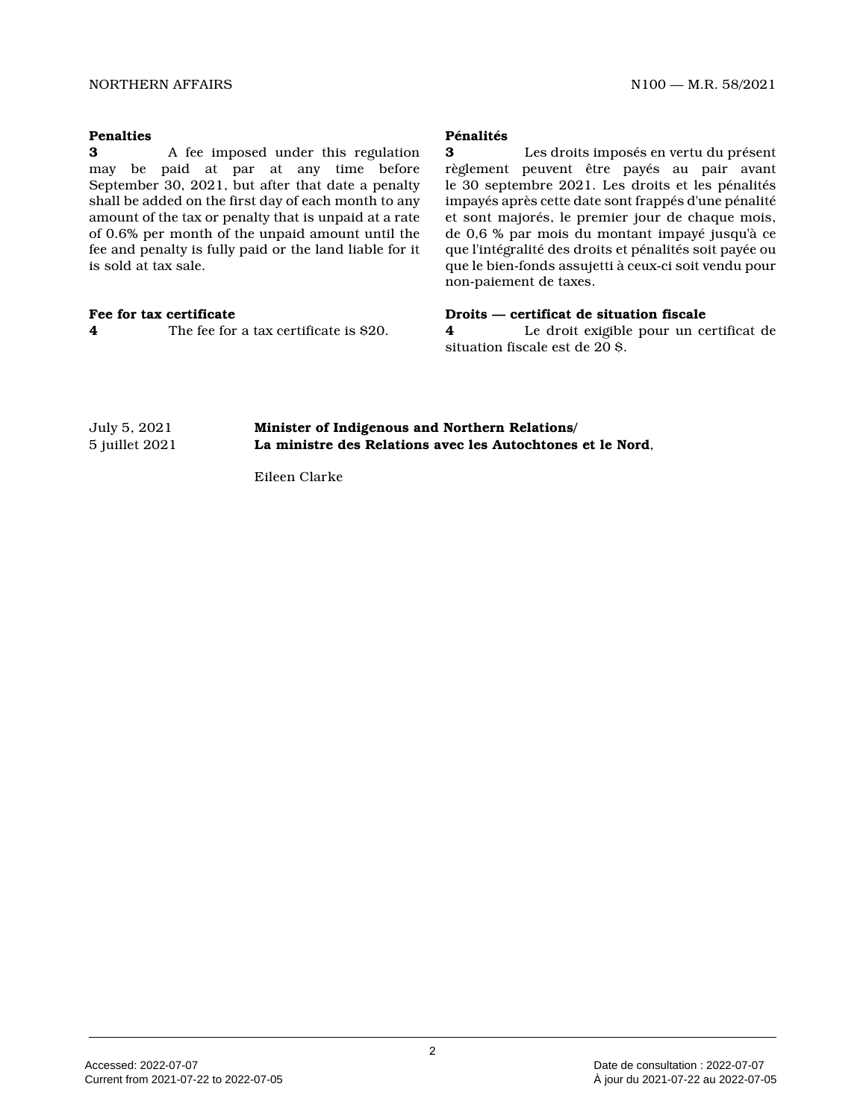#### NORTHERN AFFAIRS NORTHERN AND NORTHERN AFFAIRS

## **Penalties**

**3** A fee imposed under this regulation may be paid at par at any time before September 30, 2021, but after that date a penalty shall be added on the first day of each month to an y amount of the tax or penalty that is unpaid at a rate of 0.6% per month of the unpaid amount until the fee and penalty is fully paid or the land liable for it is sold at tax sale.

### **Fee for tax certificate**

**4** The fee for a tax certificate is \$20.

## **Pénalités**

**3** Les droits imposés en vertu du présent règlement peuvent être payés au pair avant le 30 septembre 2021. Les droits et les pénalités impayés après cette date sont frappés d'une pénalit é et sont majorés, le premier jour de chaque mois, de 0,6 % par mois du montant impayé jusqu'à ce que l'intégralité des droits et pénalités soit payée ou que le bien-fonds assujetti à ceux-ci soit vendu pour non-paiement de taxes.

### **Droits — certificat de situation fiscale**

**4** Le droit exigible pour un certificat de situation fiscale est de 20 \$.

# July 5, 2021 **Minister of Indigenous and Northern Relations/** 5 juillet 2021 **La ministre des Relations avec les Autochtones et le Nord** ,

Eileen Clarke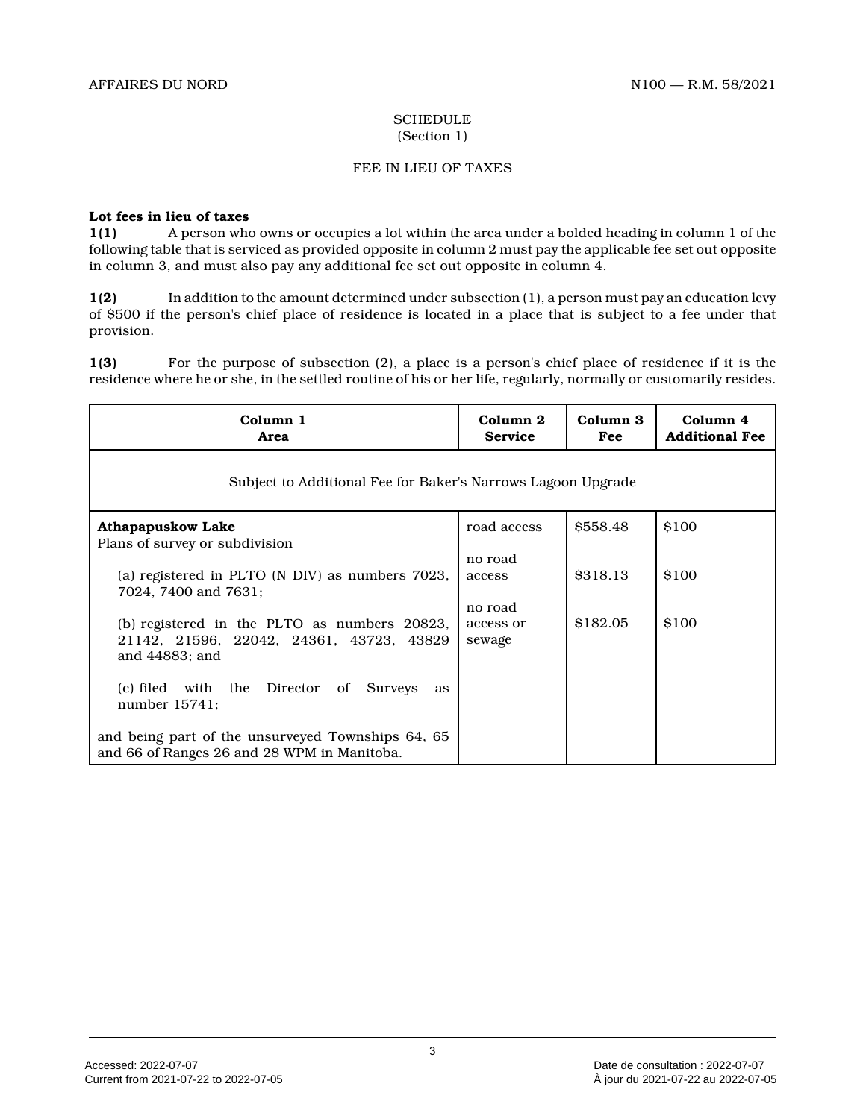# **SCHEDULE** (Section 1)

# FEE IN LIEU OF TAXES

## **Lot fees in lieu of taxes**

**1(1)** A person who owns or occupies a lot within the area under a bolded heading in column 1 of the following table that is serviced as provided opposite in column 2 must pay the applicable fee set out opposite in column 3, and must also pay any additional fee set out opposite in column 4.

**1(2)** In addition to the amount determined under subsection (1), a person must pay an education levy of \$500 if the person's chief place of residence is located in a place that is subject to a fee under that provision.

**1(3)** For the purpose of subsection (2), a place is a person's chief place of residence if it is the residence where he or she, in the settled routine of his or her life, regularly, normally or customarily resides.

| Column 1<br>Area                                                                                           | Column 2<br><b>Service</b> | Column 3<br>Fee | Column 4<br><b>Additional Fee</b> |  |
|------------------------------------------------------------------------------------------------------------|----------------------------|-----------------|-----------------------------------|--|
| Subject to Additional Fee for Baker's Narrows Lagoon Upgrade                                               |                            |                 |                                   |  |
| <b>Athapapuskow Lake</b>                                                                                   | road access                | \$558.48        | \$100                             |  |
| Plans of survey or subdivision                                                                             |                            |                 |                                   |  |
| (a) registered in PLTO (N DIV) as numbers 7023,<br>7024, 7400 and 7631;                                    | no road<br>access          | \$318.13        | \$100                             |  |
|                                                                                                            | no road                    |                 |                                   |  |
| (b) registered in the PLTO as numbers 20823,<br>21142, 21596, 22042, 24361, 43723, 43829<br>and 44883; and | access or<br>sewage        | \$182.05        | \$100                             |  |
| (c) filed with the Director of Surveys<br>as<br>number $15741$ ;                                           |                            |                 |                                   |  |
| and being part of the unsurveyed Townships 64, 65<br>and 66 of Ranges 26 and 28 WPM in Manitoba.           |                            |                 |                                   |  |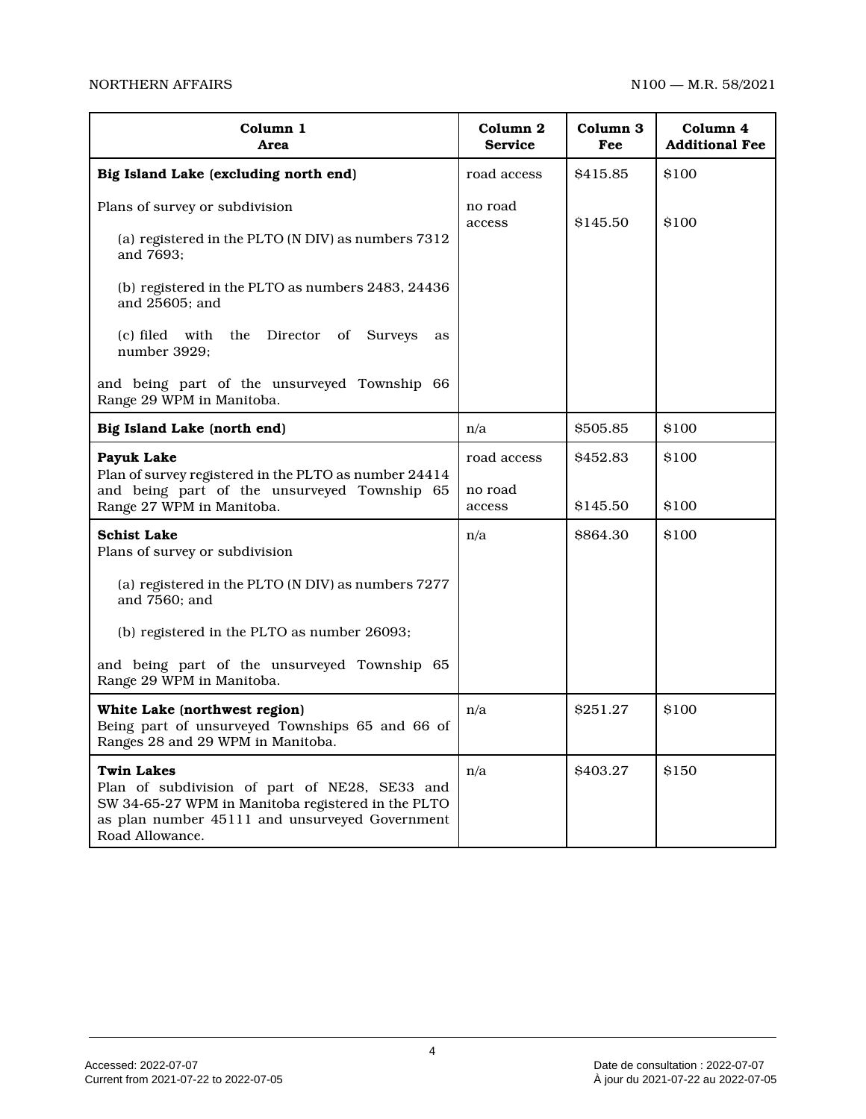| Column 1<br>Area                                                                                                                                                                              | Column 2<br><b>Service</b> | Column 3<br>Fee | Column 4<br><b>Additional Fee</b> |
|-----------------------------------------------------------------------------------------------------------------------------------------------------------------------------------------------|----------------------------|-----------------|-----------------------------------|
| Big Island Lake (excluding north end)                                                                                                                                                         | road access                | \$415.85        | \$100                             |
| Plans of survey or subdivision<br>(a) registered in the PLTO (N DIV) as numbers 7312<br>and 7693;                                                                                             | no road<br>access          | \$145.50        | \$100                             |
| (b) registered in the PLTO as numbers 2483, 24436<br>and 25605; and                                                                                                                           |                            |                 |                                   |
| (c) filed with<br>the Director of<br><b>Surveys</b><br>as<br>number 3929;                                                                                                                     |                            |                 |                                   |
| and being part of the unsurveyed Township 66<br>Range 29 WPM in Manitoba.                                                                                                                     |                            |                 |                                   |
| Big Island Lake (north end)                                                                                                                                                                   | n/a                        | \$505.85        | \$100                             |
| <b>Payuk Lake</b><br>Plan of survey registered in the PLTO as number 24414                                                                                                                    | road access                | \$452.83        | \$100                             |
| and being part of the unsurveyed Township 65<br>Range 27 WPM in Manitoba.                                                                                                                     | no road<br>access          | \$145.50        | \$100                             |
| <b>Schist Lake</b><br>Plans of survey or subdivision                                                                                                                                          | n/a                        | <b>\$864.30</b> | \$100                             |
| (a) registered in the PLTO (N DIV) as numbers 7277<br>and 7560; and                                                                                                                           |                            |                 |                                   |
| (b) registered in the PLTO as number 26093;                                                                                                                                                   |                            |                 |                                   |
| and being part of the unsurveyed Township 65<br>Range 29 WPM in Manitoba.                                                                                                                     |                            |                 |                                   |
| White Lake (northwest region)<br>Being part of unsurveyed Townships 65 and 66 of<br>Ranges 28 and 29 WPM in Manitoba.                                                                         | n/a                        | \$251.27        | \$100                             |
| <b>Twin Lakes</b><br>Plan of subdivision of part of NE28, SE33 and<br>SW 34-65-27 WPM in Manitoba registered in the PLTO<br>as plan number 45111 and unsurveyed Government<br>Road Allowance. | n/a                        | \$403.27        | \$150                             |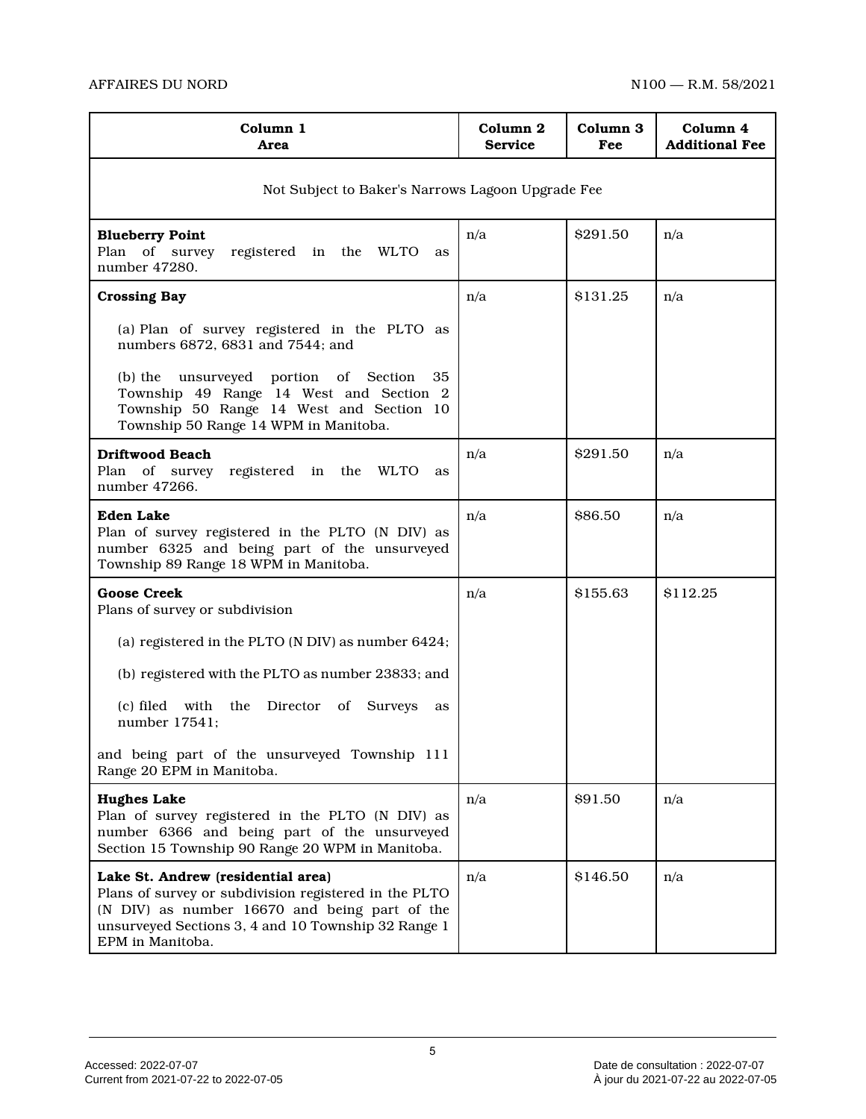| Column 1<br>Area                                                                                                                                                                                                        | Column 2<br><b>Service</b> | Column 3<br>Fee | Column 4<br><b>Additional Fee</b> |  |
|-------------------------------------------------------------------------------------------------------------------------------------------------------------------------------------------------------------------------|----------------------------|-----------------|-----------------------------------|--|
| Not Subject to Baker's Narrows Lagoon Upgrade Fee                                                                                                                                                                       |                            |                 |                                   |  |
| <b>Blueberry Point</b><br>Plan of survey<br>registered in the WLTO<br>as<br>number 47280.                                                                                                                               | n/a                        | \$291.50        | n/a                               |  |
| <b>Crossing Bay</b>                                                                                                                                                                                                     | n/a                        | \$131.25        | n/a                               |  |
| (a) Plan of survey registered in the PLTO as<br>numbers 6872, 6831 and 7544; and                                                                                                                                        |                            |                 |                                   |  |
| (b) the unsurveyed portion of Section<br>35<br>Township 49 Range 14 West and Section 2<br>Township 50 Range 14 West and Section 10<br>Township 50 Range 14 WPM in Manitoba.                                             |                            |                 |                                   |  |
| <b>Driftwood Beach</b><br>Plan of survey registered in the WLTO<br>as<br>number 47266.                                                                                                                                  | n/a                        | \$291.50        | n/a                               |  |
| <b>Eden Lake</b><br>Plan of survey registered in the PLTO (N DIV) as<br>number 6325 and being part of the unsurveyed<br>Township 89 Range 18 WPM in Manitoba.                                                           | n/a                        | \$86.50         | n/a                               |  |
| <b>Goose Creek</b><br>Plans of survey or subdivision                                                                                                                                                                    | n/a                        | \$155.63        | \$112.25                          |  |
| (a) registered in the PLTO (N DIV) as number 6424;                                                                                                                                                                      |                            |                 |                                   |  |
| (b) registered with the PLTO as number 23833; and                                                                                                                                                                       |                            |                 |                                   |  |
| (c) filed with<br>the<br>Director of<br><b>Surveys</b><br>as<br>number 17541;                                                                                                                                           |                            |                 |                                   |  |
| and being part of the unsurveyed Township 111<br>Range 20 EPM in Manitoba.                                                                                                                                              |                            |                 |                                   |  |
| <b>Hughes Lake</b><br>Plan of survey registered in the PLTO (N DIV) as<br>number 6366 and being part of the unsurveyed<br>Section 15 Township 90 Range 20 WPM in Manitoba.                                              | n/a                        | \$91.50         | n/a                               |  |
| Lake St. Andrew (residential area)<br>Plans of survey or subdivision registered in the PLTO<br>(N DIV) as number 16670 and being part of the<br>unsurveyed Sections 3, 4 and 10 Township 32 Range 1<br>EPM in Manitoba. | n/a                        | \$146.50        | n/a                               |  |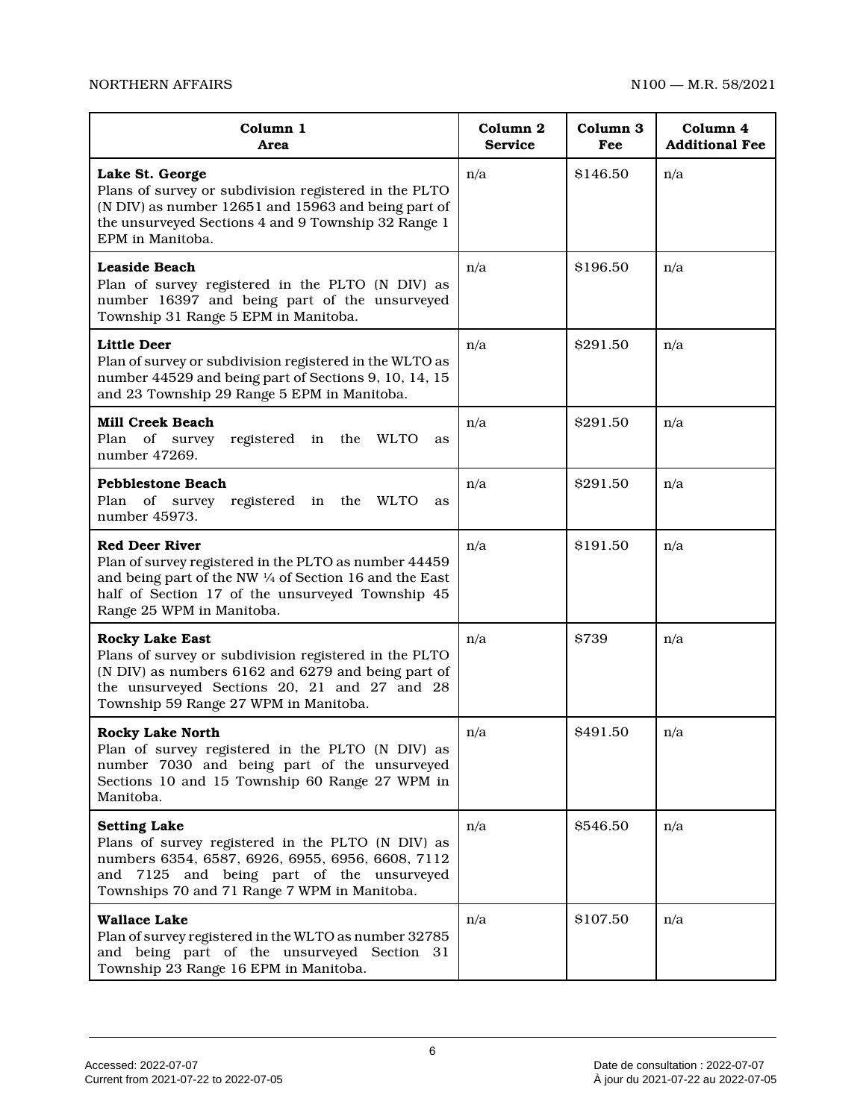# NORTHERN AFFAIRS NORTHERN AFFAIRS

| Column 1<br>Area                                                                                                                                                                                                               | Column <sub>2</sub><br><b>Service</b> | Column <sub>3</sub><br>Fee | Column 4<br><b>Additional Fee</b> |
|--------------------------------------------------------------------------------------------------------------------------------------------------------------------------------------------------------------------------------|---------------------------------------|----------------------------|-----------------------------------|
| Lake St. George<br>Plans of survey or subdivision registered in the PLTO<br>(N DIV) as number 12651 and 15963 and being part of<br>the unsurveyed Sections 4 and 9 Township 32 Range 1<br>EPM in Manitoba.                     | n/a                                   | \$146.50                   | n/a                               |
| Leaside Beach<br>Plan of survey registered in the PLTO (N DIV) as<br>number 16397 and being part of the unsurveyed<br>Township 31 Range 5 EPM in Manitoba.                                                                     | n/a                                   | \$196.50                   | n/a                               |
| <b>Little Deer</b><br>Plan of survey or subdivision registered in the WLTO as<br>number 44529 and being part of Sections 9, 10, 14, 15<br>and 23 Township 29 Range 5 EPM in Manitoba.                                          | n/a                                   | \$291.50                   | n/a                               |
| <b>Mill Creek Beach</b><br>Plan of survey<br>registered in the WLTO<br>as<br>number 47269.                                                                                                                                     | n/a                                   | \$291.50                   | n/a                               |
| <b>Pebblestone Beach</b><br>Plan of survey registered in the<br><b>WLTO</b><br>as<br>number 45973.                                                                                                                             | n/a                                   | \$291.50                   | n/a                               |
| <b>Red Deer River</b><br>Plan of survey registered in the PLTO as number 44459<br>and being part of the NW 1/4 of Section 16 and the East<br>half of Section 17 of the unsurveyed Township 45<br>Range 25 WPM in Manitoba.     | n/a                                   | \$191.50                   | n/a                               |
| <b>Rocky Lake East</b><br>Plans of survey or subdivision registered in the PLTO<br>(N DIV) as numbers 6162 and 6279 and being part of<br>the unsurveyed Sections 20, 21 and 27 and 28<br>Township 59 Range 27 WPM in Manitoba. | n/a                                   | \$739                      | n/a                               |
| <b>Rocky Lake North</b><br>Plan of survey registered in the PLTO (N DIV) as<br>number 7030 and being part of the unsurveyed<br>Sections 10 and 15 Township 60 Range 27 WPM in<br>Manitoba.                                     | n/a                                   | \$491.50                   | n/a                               |
| <b>Setting Lake</b><br>Plans of survey registered in the PLTO (N DIV) as<br>numbers 6354, 6587, 6926, 6955, 6956, 6608, 7112<br>and 7125 and being part of the unsurveyed<br>Townships 70 and 71 Range 7 WPM in Manitoba.      | n/a                                   | \$546.50                   | n/a                               |
| <b>Wallace Lake</b><br>Plan of survey registered in the WLTO as number 32785<br>and being part of the unsurveyed Section 31<br>Township 23 Range 16 EPM in Manitoba.                                                           | n/a                                   | \$107.50                   | n/a                               |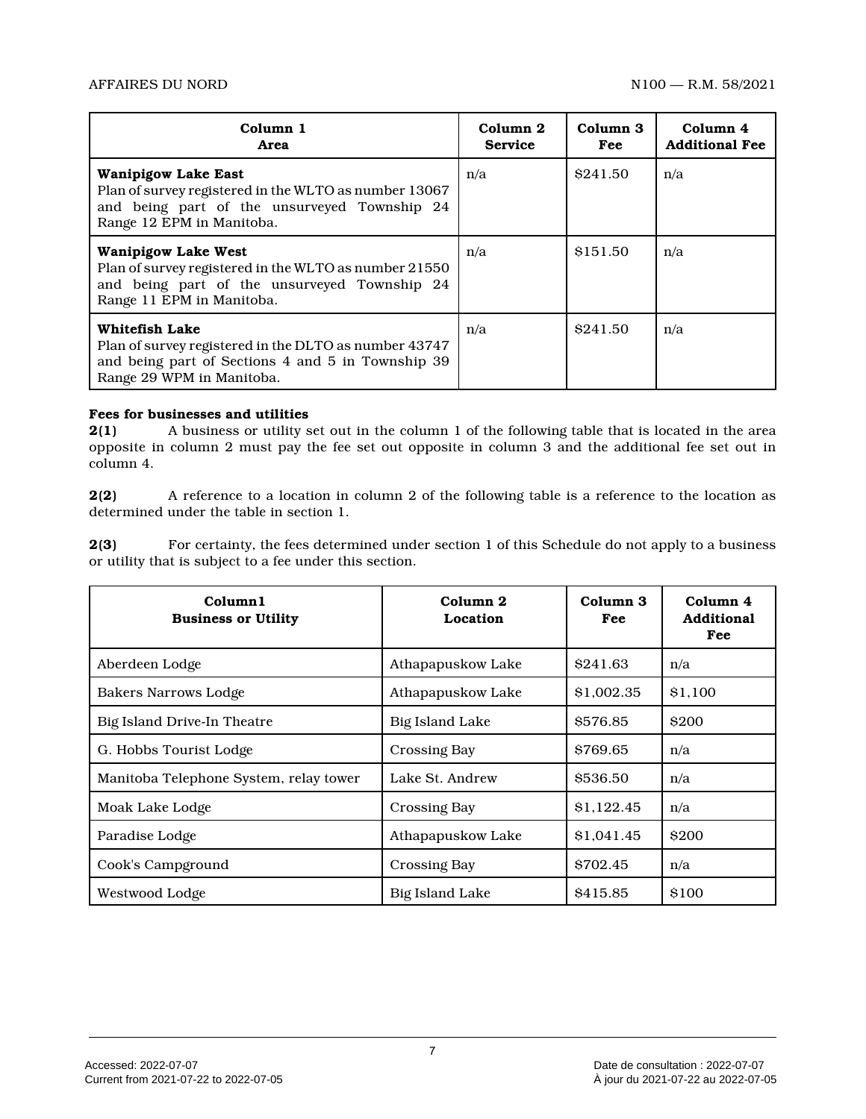| Column 1<br>Area                                                                                                                                                 | Column 2<br><b>Service</b> | Column 3<br>Fee | Column 4<br><b>Additional Fee</b> |
|------------------------------------------------------------------------------------------------------------------------------------------------------------------|----------------------------|-----------------|-----------------------------------|
| <b>Wanipigow Lake East</b><br>Plan of survey registered in the WLTO as number 13067<br>and being part of the unsurveyed Township 24<br>Range 12 EPM in Manitoba. | n/a                        | \$241.50        | n/a                               |
| <b>Wanipigow Lake West</b><br>Plan of survey registered in the WLTO as number 21550<br>and being part of the unsurveyed Township 24<br>Range 11 EPM in Manitoba. | n/a                        | \$151.50        | n/a                               |
| Whitefish Lake<br>Plan of survey registered in the DLTO as number 43747<br>and being part of Sections 4 and 5 in Township 39<br>Range 29 WPM in Manitoba.        | n/a                        | \$241.50        | n/a                               |

# **Fees for businesses and utilities**<br>**2(1)** A business or utility s

**2(1)** A business or utility set out in the column 1 of the following table that is located in the area opposite in column 2 must pay the fee set out opposite in column 3 and the additional fee set out in column 4.

**2(2)** A reference to a location in column 2 of the following table is a reference to the location as determined under the table in section 1.

**2(3)** For certainty, the fees determined under section 1 of this Schedule do not apply to a business or utility that is subject to a fee under this section.

| Column1<br><b>Business or Utility</b>  | Column <sub>2</sub><br>Location | Column <sub>3</sub><br>Fee | Column 4<br><b>Additional</b><br>Fee |
|----------------------------------------|---------------------------------|----------------------------|--------------------------------------|
| Aberdeen Lodge                         | Athapapuskow Lake               | \$241.63                   | n/a                                  |
| Bakers Narrows Lodge                   | Athapapuskow Lake               | \$1,002.35                 | <b>S1.100</b>                        |
| Big Island Drive-In Theatre            | Big Island Lake                 | \$576.85                   | <b>\$200</b>                         |
| G. Hobbs Tourist Lodge                 | Crossing Bay                    | \$769.65                   | n/a                                  |
| Manitoba Telephone System, relay tower | Lake St. Andrew                 | \$536.50                   | n/a                                  |
| Moak Lake Lodge                        | <b>Crossing Bay</b>             | \$1.122.45                 | n/a                                  |
| Paradise Lodge                         | Athapapuskow Lake               | \$1,041.45                 | <b>\$200</b>                         |
| Cook's Campground                      | Crossing Bay                    | \$702.45                   | n/a                                  |
| Westwood Lodge                         | Big Island Lake                 | \$415.85                   | \$100                                |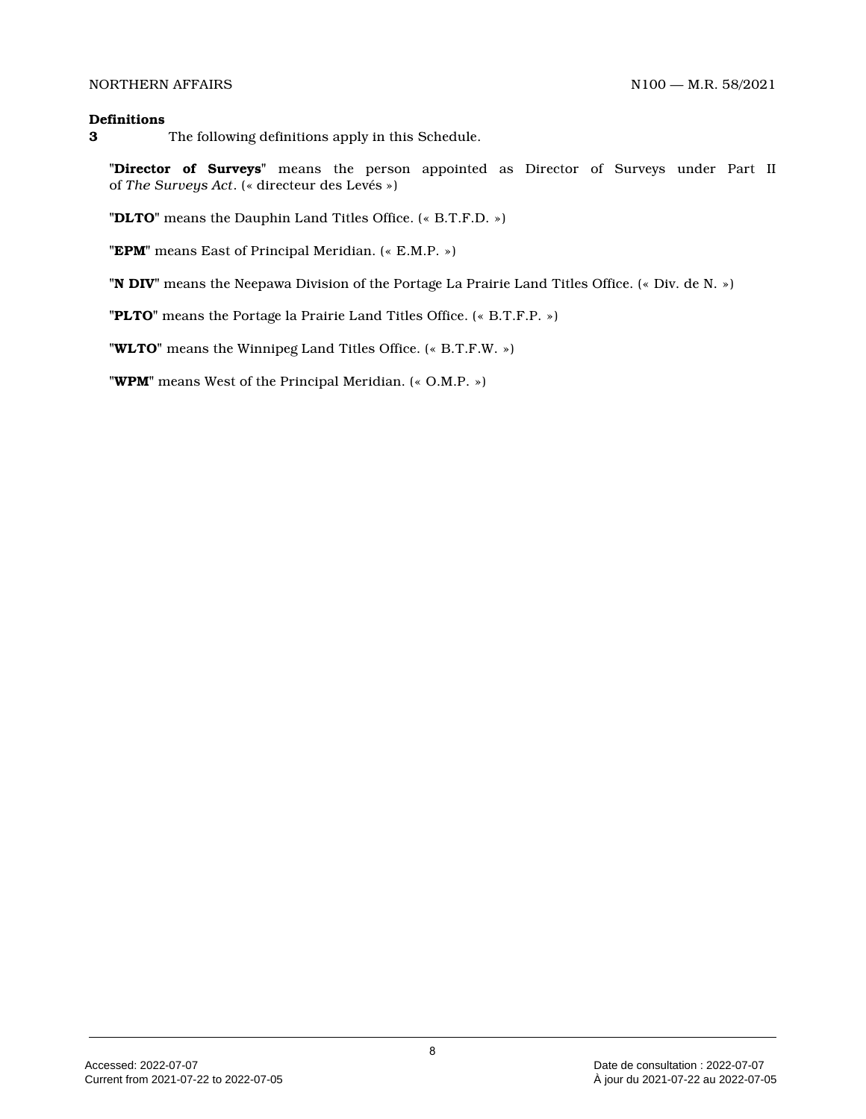#### **Definitions**

**3** The following definitions apply in this Schedule.

**"Director of Surveys"** means the person appointed as Director of Surveys under Part II of *The Surveys Act*. (« directeur des Levés »)

**"DLTO"** means the Dauphin Land Titles Office. (« B.T.F.D. »)

**"EPM"** means East of Principal Meridian. (« E.M.P. »)

**"N DIV"** means the Neepawa Division of the Portage La Prairie Land Titles Office. (« Div. de N. »)

**"PLTO"** means the Portage la Prairie Land Titles Office. (« B.T.F.P. »)

**"WLTO"** means the Winnipeg Land Titles Office. (« B.T.F.W. »)

**"WPM"** means West of the Principal Meridian. (« O.M.P. »)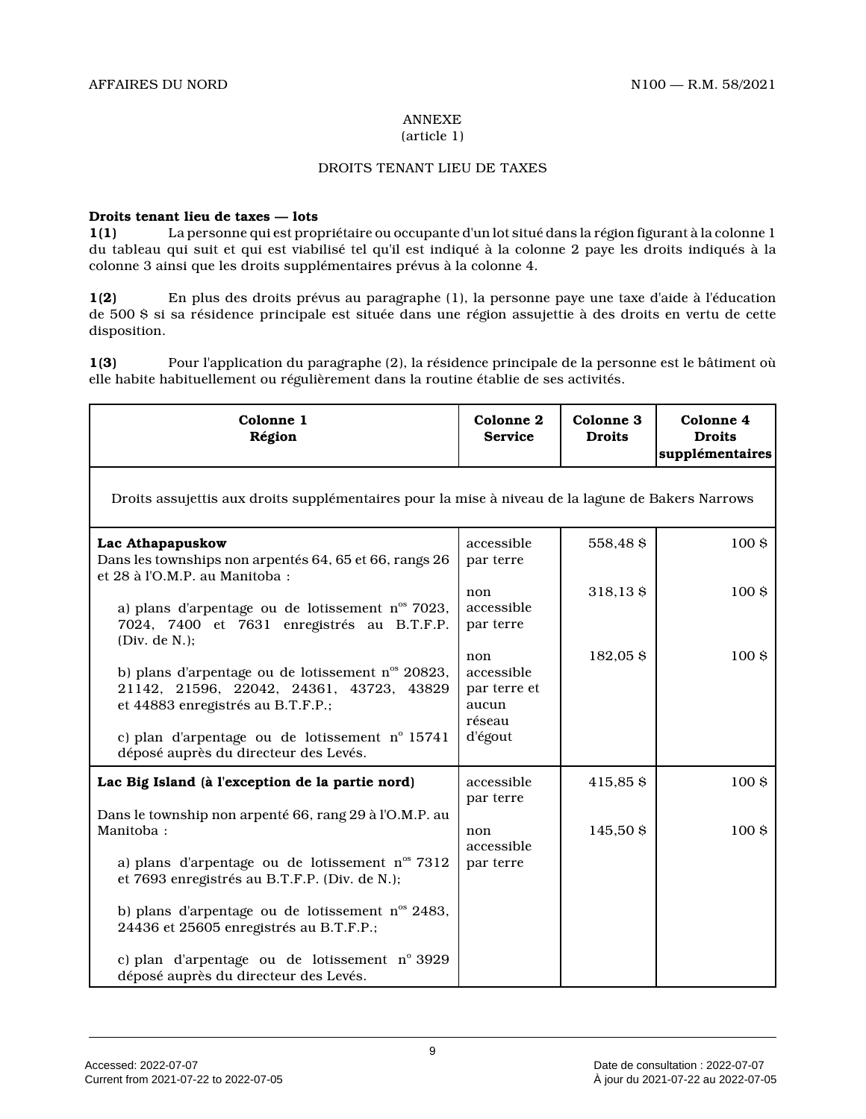#### ANNEXE (article 1)

# DROITS TENANT LIEU DE TAXES

# **Droits tenant lieu de taxes — lots**

**1(1)** La personne qui est propriétaire ou occupante d'un lot situé dans la région figurant à la colonne 1 du tableau qui suit et qui est viabilisé tel qu'il est indiqué à la colonne 2 paye les droits indiqués à la colonne 3 ainsi que les droits supplémentaires prévus à la colonne 4.

**1(2)** En plus des droits prévus au paragraphe (1), la personne paye une taxe d'aide à l'éducation de 500 \$ si sa résidence principale est située dans une région assujettie à des droits en vertu de cett e disposition.

**1(3)** Pour l'application du paragraphe (2), la résidence principale de la personne est le bâtiment où elle habite habituellement ou régulièrement dans la routine établie de ses activités.

|           | Droits assujettis aux droits supplémentaires pour la mise à niveau de la lagune de Bakers Narrows |
|-----------|---------------------------------------------------------------------------------------------------|
|           |                                                                                                   |
|           | 100 <sub>5</sub>                                                                                  |
| 318,13\$  | 100 <sub>5</sub>                                                                                  |
| 182,05\$  | 100 <sub>5</sub>                                                                                  |
| 415,85 \$ | 100 <sub>5</sub>                                                                                  |
| 145,50 \$ | 100 <sub>5</sub>                                                                                  |
|           |                                                                                                   |
|           | 558,48 \$                                                                                         |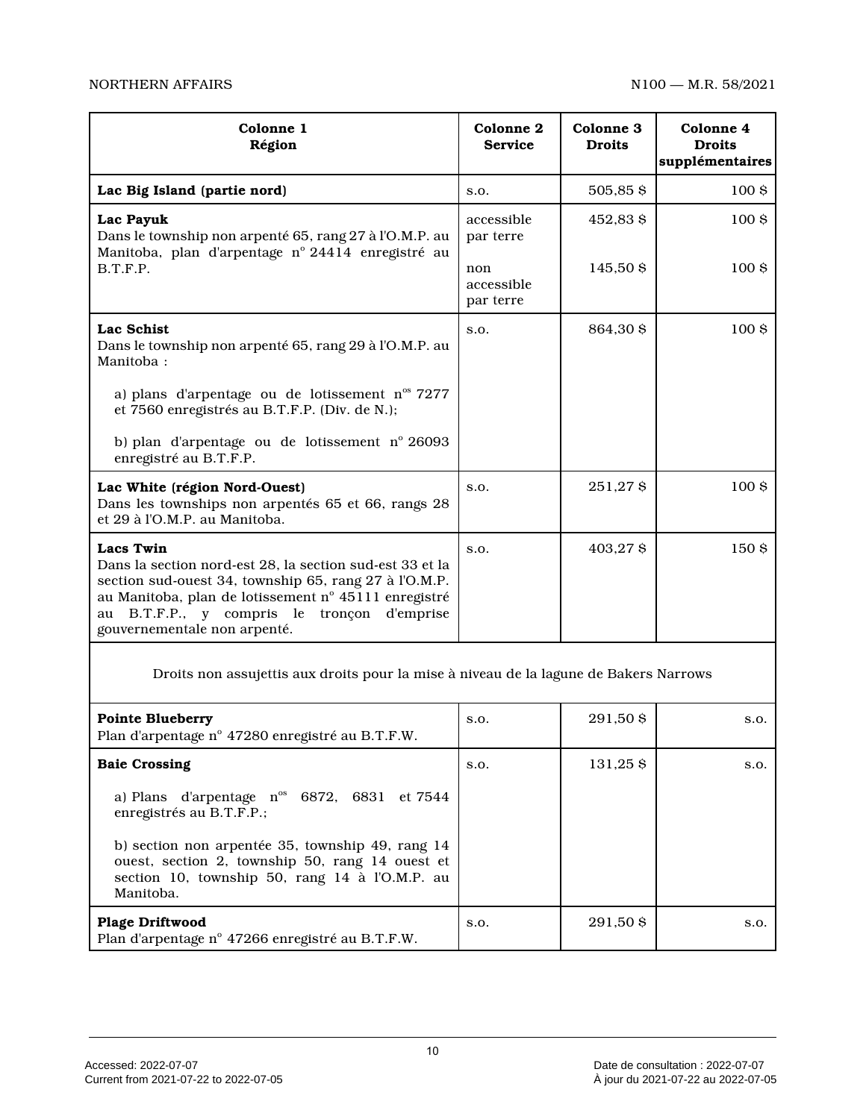| Colonne 1<br>Région                                                                                                                                                                                                                                                                | Colonne <sub>2</sub><br><b>Service</b> | Colonne 3<br><b>Droits</b> | Colonne 4<br><b>Droits</b><br>supplémentaires |
|------------------------------------------------------------------------------------------------------------------------------------------------------------------------------------------------------------------------------------------------------------------------------------|----------------------------------------|----------------------------|-----------------------------------------------|
| Lac Big Island (partie nord)                                                                                                                                                                                                                                                       | S.O.                                   | 505,85\$                   | 100 <sub>5</sub>                              |
| Lac Payuk<br>Dans le township non arpenté 65, rang 27 à l'O.M.P. au<br>Manitoba, plan d'arpentage nº 24414 enregistré au<br>B.T.F.P.                                                                                                                                               | accessible<br>par terre                | 452,83 \$                  | 100\$                                         |
|                                                                                                                                                                                                                                                                                    | non<br>accessible<br>par terre         | 145,50 \$                  | 100 <sub>5</sub>                              |
| <b>Lac Schist</b><br>Dans le township non arpenté 65, rang 29 à l'O.M.P. au<br>Manitoba:                                                                                                                                                                                           | S.O.                                   | 864,30 \$                  | 100 <sub>8</sub>                              |
| a) plans d'arpentage ou de lotissement $n^{\text{os}}$ 7277<br>et 7560 enregistrés au B.T.F.P. (Div. de N.);                                                                                                                                                                       |                                        |                            |                                               |
| b) plan d'arpentage ou de lotissement nº 26093<br>enregistré au B.T.F.P.                                                                                                                                                                                                           |                                        |                            |                                               |
| Lac White (région Nord-Ouest)<br>Dans les townships non arpentés 65 et 66, rangs 28<br>et 29 à l'O.M.P. au Manitoba.                                                                                                                                                               | S.O.                                   | 251,278                    | 100 <sub>5</sub>                              |
| <b>Lacs Twin</b><br>Dans la section nord-est 28, la section sud-est 33 et la<br>section sud-ouest 34, township 65, rang 27 à l'O.M.P.<br>au Manitoba, plan de lotissement nº 45111 enregistré<br>au B.T.F.P., y compris le<br>d'emprise<br>tronçon<br>gouvernementale non arpenté. | S.O.                                   | 403,27 \$                  | 150 \$                                        |

Droits non assujettis aux droits pour la mise à niveau de la lagune de Bakers Narrows

| <b>Pointe Blueberry</b><br>Plan d'arpentage n° 47280 enregistré au B.T.F.W.                                                                                        | S.O. | 291.50 \$ | S.O. |
|--------------------------------------------------------------------------------------------------------------------------------------------------------------------|------|-----------|------|
| <b>Baie Crossing</b>                                                                                                                                               | S.O. | 131.25 \$ | S.O. |
| a) Plans d'arpentage $n^{\circ}$ 6872, 6831 et 7544<br>enregistrés au B.T.F.P.;                                                                                    |      |           |      |
| b) section non arpentée 35, township 49, rang 14<br>ouest, section 2, township 50, rang 14 ouest et<br>section 10, township 50, rang 14 à l'O.M.P. au<br>Manitoba. |      |           |      |
| <b>Plage Driftwood</b><br>Plan d'arpentage n° 47266 enregistré au B.T.F.W.                                                                                         | S.O. | 291.50 \$ | S.O. |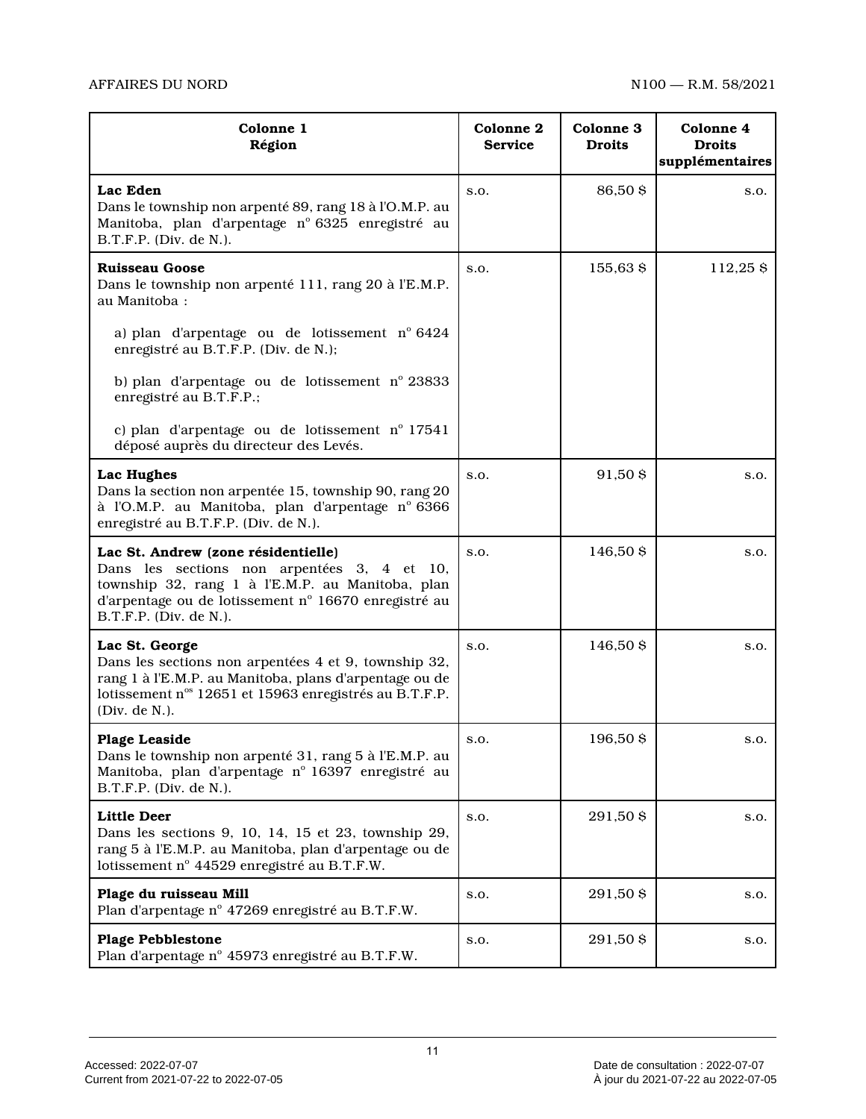| Colonne 1<br>Région                                                                                                                                                                                                      | Colonne 2<br><b>Service</b> | <b>Colonne 3</b><br><b>Droits</b> | Colonne 4<br><b>Droits</b><br>supplémentaires |
|--------------------------------------------------------------------------------------------------------------------------------------------------------------------------------------------------------------------------|-----------------------------|-----------------------------------|-----------------------------------------------|
| Lac Eden<br>Dans le township non arpenté 89, rang 18 à l'O.M.P. au<br>Manitoba, plan d'arpentage nº 6325 enregistré au<br>B.T.F.P. (Div. de N.).                                                                         | S.O.                        | 86,50 \$                          | S.O.                                          |
| <b>Ruisseau Goose</b><br>Dans le township non arpenté 111, rang 20 à l'E.M.P.<br>au Manitoba:                                                                                                                            | S.O.                        | 155,63 \$                         | 112,25 \$                                     |
| a) plan d'arpentage ou de lotissement nº 6424<br>enregistré au B.T.F.P. (Div. de N.);                                                                                                                                    |                             |                                   |                                               |
| b) plan d'arpentage ou de lotissement nº 23833<br>enregistré au B.T.F.P.;                                                                                                                                                |                             |                                   |                                               |
| c) plan d'arpentage ou de lotissement n° 17541<br>déposé auprès du directeur des Levés.                                                                                                                                  |                             |                                   |                                               |
| Lac Hughes<br>Dans la section non arpentée 15, township 90, rang 20<br>à l'O.M.P. au Manitoba, plan d'arpentage nº 6366<br>enregistré au B.T.F.P. (Div. de N.).                                                          | S.O.                        | 91,50 \$                          | S.O.                                          |
| Lac St. Andrew (zone résidentielle)<br>Dans les sections non arpentées 3, 4 et 10,<br>township 32, rang 1 à l'E.M.P. au Manitoba, plan<br>d'arpentage ou de lotissement nº 16670 enregistré au<br>B.T.F.P. (Div. de N.). | S.O.                        | 146,50 \$                         | S.O.                                          |
| Lac St. George<br>Dans les sections non arpentées 4 et 9, township 32,<br>rang 1 à l'E.M.P. au Manitoba, plans d'arpentage ou de<br>lotissement n° 12651 et 15963 enregistrés au B.T.F.P.<br>(Div. de N.).               | S.O.                        | 146,50 \$                         | S.O.                                          |
| Plage Leaside<br>Dans le township non arpenté 31, rang 5 à l'E.M.P. au<br>Manitoba, plan d'arpentage nº 16397 enregistré au<br>B.T.F.P. (Div. de N.).                                                                    | S.O.                        | 196,50 \$                         | s.o.                                          |
| <b>Little Deer</b><br>Dans les sections 9, 10, 14, 15 et 23, township 29,<br>rang 5 à l'E.M.P. au Manitoba, plan d'arpentage ou de<br>lotissement nº 44529 enregistré au B.T.F.W.                                        | S.O.                        | 291,50 \$                         | S.O.                                          |
| Plage du ruisseau Mill<br>Plan d'arpentage nº 47269 enregistré au B.T.F.W.                                                                                                                                               | S.O.                        | 291,50 \$                         | S.O.                                          |
| <b>Plage Pebblestone</b><br>Plan d'arpentage nº 45973 enregistré au B.T.F.W.                                                                                                                                             | S.O.                        | 291,50 \$                         | S.O.                                          |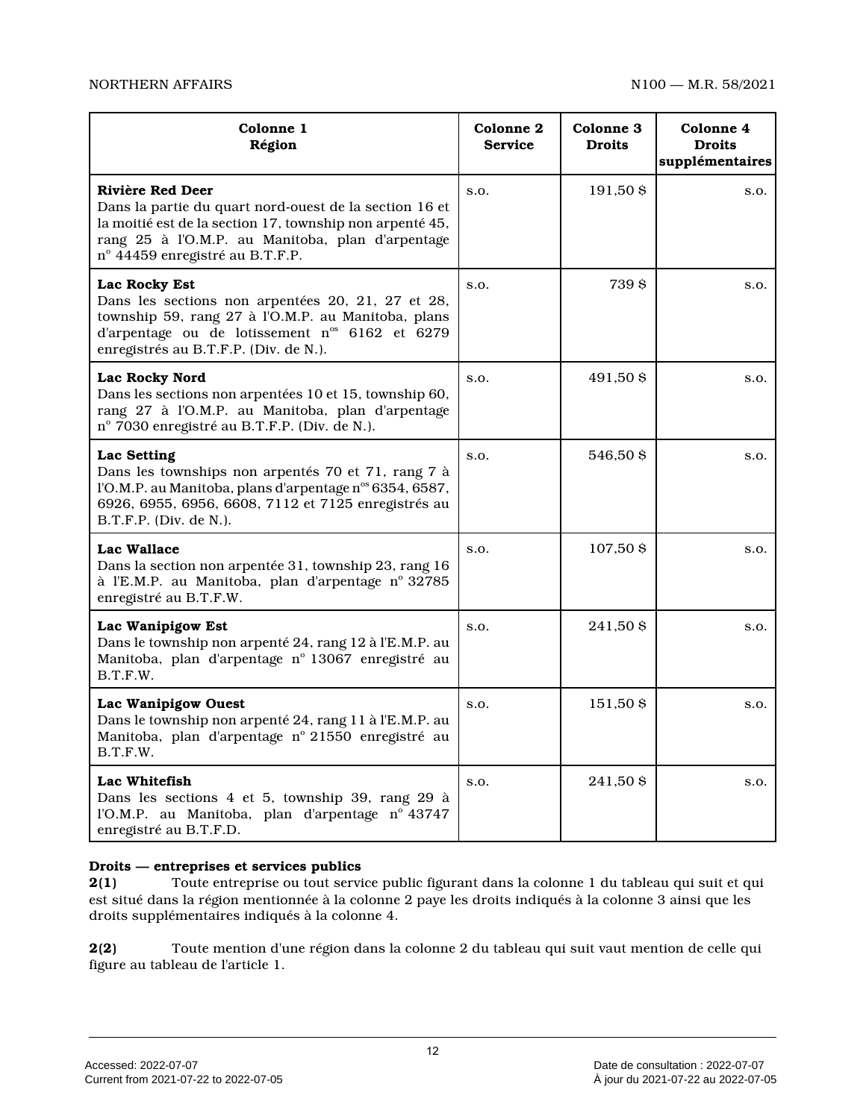| Colonne 1<br>Région                                                                                                                                                                                                             | Colonne 2<br><b>Service</b> | Colonne 3<br><b>Droits</b> | Colonne 4<br><b>Droits</b><br>supplémentaires |
|---------------------------------------------------------------------------------------------------------------------------------------------------------------------------------------------------------------------------------|-----------------------------|----------------------------|-----------------------------------------------|
| Rivière Red Deer<br>Dans la partie du quart nord-ouest de la section 16 et<br>la moitié est de la section 17, township non arpenté 45,<br>rang 25 à l'O.M.P. au Manitoba, plan d'arpentage<br>nº 44459 enregistré au B.T.F.P.   | S.O.                        | 191,50 \$                  | S.O.                                          |
| Lac Rocky Est<br>Dans les sections non arpentées 20, 21, 27 et 28,<br>township 59, rang 27 à l'O.M.P. au Manitoba, plans<br>d'arpentage ou de lotissement n <sup>os</sup> 6162 et 6279<br>enregistrés au B.T.F.P. (Div. de N.). | S.O.                        | 739 \$                     | S.O.                                          |
| <b>Lac Rocky Nord</b><br>Dans les sections non arpentées 10 et 15, township 60,<br>rang 27 à l'O.M.P. au Manitoba, plan d'arpentage<br>nº 7030 enregistré au B.T.F.P. (Div. de N.).                                             | S.O.                        | 491,50 \$                  | S.O.                                          |
| Lac Setting<br>Dans les townships non arpentés 70 et 71, rang 7 à<br>l'O.M.P. au Manitoba, plans d'arpentage n° 6354, 6587,<br>6926, 6955, 6956, 6608, 7112 et 7125 enregistrés au<br>$B.T.F.P.$ (Div. de N.).                  | S.O.                        | 546,50 \$                  | S.O.                                          |
| Lac Wallace<br>Dans la section non arpentée 31, township 23, rang 16<br>à l'E.M.P. au Manitoba, plan d'arpentage nº 32785<br>enregistré au B.T.F.W.                                                                             | S.O.                        | 107,50 \$                  | S.O.                                          |
| Lac Wanipigow Est<br>Dans le township non arpenté 24, rang 12 à l'E.M.P. au<br>Manitoba, plan d'arpentage nº 13067 enregistré au<br>B.T.F.W.                                                                                    | S.O.                        | 241,50 \$                  | S.O.                                          |
| Lac Wanipigow Ouest<br>Dans le township non arpenté 24, rang 11 à l'E.M.P. au<br>Manitoba, plan d'arpentage nº 21550 enregistré au<br>B.T.F.W.                                                                                  | S.O.                        | 151,50 \$                  | S.O.                                          |
| Lac Whitefish<br>Dans les sections 4 et 5, township 39, rang 29 à<br>l'O.M.P. au Manitoba, plan d'arpentage nº 43747<br>enregistré au B.T.F.D.                                                                                  | S.O.                        | 241,50 \$                  | S.O.                                          |

# **Droits — entreprises et services publics**

**2(1)** Toute entreprise ou tout service public figurant dans la colonne 1 du tableau qui suit et qui est situé dans la région mentionnée à la colonne 2 paye les droits indiqués à la colonne 3 ainsi que les droits supplémentaires indiqués à la colonne 4.

**2(2)** Toute mention d'une région dans la colonne 2 du tableau qui suit vaut mention de celle qui figure au tableau de l'article 1.